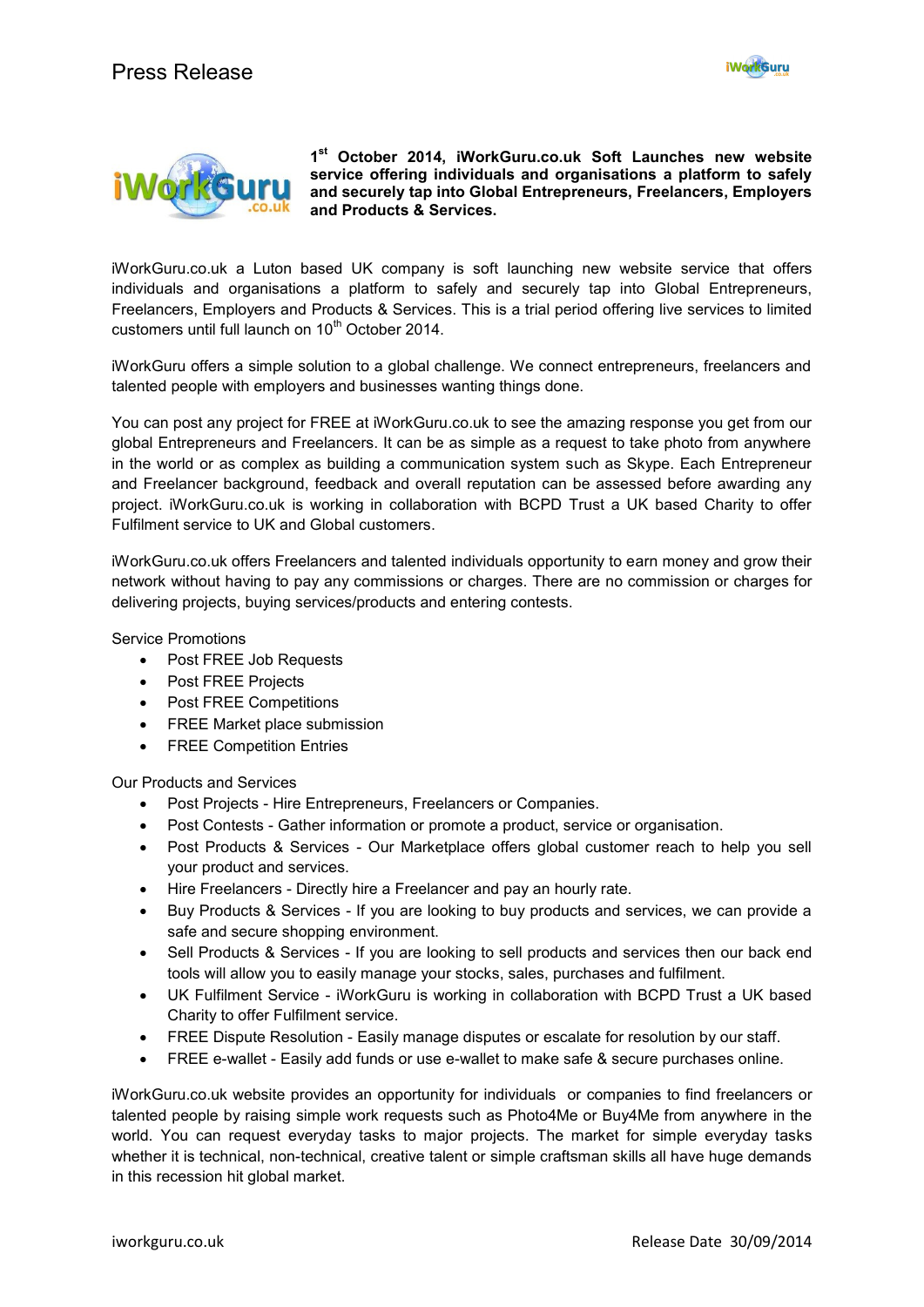



**1 st October 2014, iWorkGuru.co.uk Soft Launches new website service offering individuals and organisations a platform to safely and securely tap into Global Entrepreneurs, Freelancers, Employers and Products & Services.**

iWorkGuru.co.uk a Luton based UK company is soft launching new website service that offers individuals and organisations a platform to safely and securely tap into Global Entrepreneurs, Freelancers, Employers and Products & Services. This is a trial period offering live services to limited customers until full launch on  $10<sup>th</sup>$  October 2014.

iWorkGuru offers a simple solution to a global challenge. We connect entrepreneurs, freelancers and talented people with employers and businesses wanting things done.

You can post any project for FREE at iWorkGuru.co.uk to see the amazing response you get from our global Entrepreneurs and Freelancers. It can be as simple as a request to take photo from anywhere in the world or as complex as building a communication system such as Skype. Each Entrepreneur and Freelancer background, feedback and overall reputation can be assessed before awarding any project. iWorkGuru.co.uk is working in collaboration with BCPD Trust a UK based Charity to offer Fulfilment service to UK and Global customers.

iWorkGuru.co.uk offers Freelancers and talented individuals opportunity to earn money and grow their network without having to pay any commissions or charges. There are no commission or charges for delivering projects, buying services/products and entering contests.

Service Promotions

- Post FREE Job Requests
- Post FREE Projects
- Post FREE Competitions
- FREE Market place submission
- FREE Competition Entries

Our Products and Services

- Post Projects Hire Entrepreneurs, Freelancers or Companies.
- Post Contests Gather information or promote a product, service or organisation.
- Post Products & Services Our Marketplace offers global customer reach to help you sell your product and services.
- Hire Freelancers Directly hire a Freelancer and pay an hourly rate.
- Buy Products & Services If you are looking to buy products and services, we can provide a safe and secure shopping environment.
- Sell Products & Services If you are looking to sell products and services then our back end tools will allow you to easily manage your stocks, sales, purchases and fulfilment.
- UK Fulfilment Service iWorkGuru is working in collaboration with BCPD Trust a UK based Charity to offer Fulfilment service.
- FREE Dispute Resolution Easily manage disputes or escalate for resolution by our staff.
- FREE e-wallet Easily add funds or use e-wallet to make safe & secure purchases online.

iWorkGuru.co.uk website provides an opportunity for individuals or companies to find freelancers or talented people by raising simple work requests such as Photo4Me or Buy4Me from anywhere in the world. You can request everyday tasks to major projects. The market for simple everyday tasks whether it is technical, non-technical, creative talent or simple craftsman skills all have huge demands in this recession hit global market.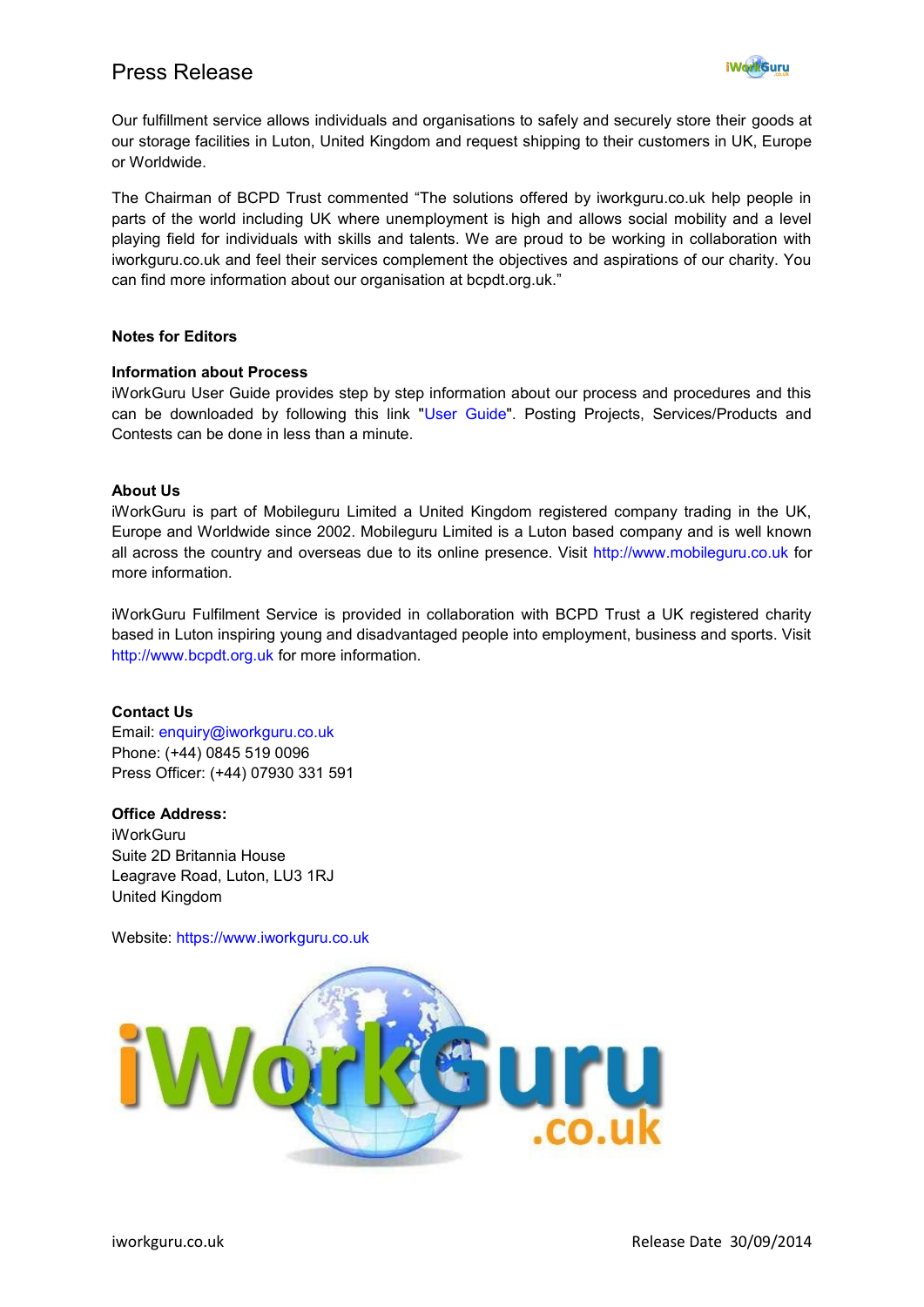# Press Release



Our fulfillment service allows individuals and organisations to safely and securely store their goods at our storage facilities in Luton, United Kingdom and request shipping to their customers in UK, Europe or Worldwide.

The Chairman of BCPD Trust commented "The solutions offered by iworkguru.co.uk help people in parts of the world including UK where unemployment is high and allows social mobility and a level playing field for individuals with skills and talents. We are proud to be working in collaboration with iworkguru.co.uk and feel their services complement the objectives and aspirations of our charity. You can find more information about our organisation at bcpdt.org.uk."

### **Notes for Editors**

## **Information about Process**

iWorkGuru User Guide provides step by step information about our process and procedures and this can be downloaded by following this link ["User Guide"](http://www.mobileguru.co.uk/iworkguru/userguidance.pdf). Posting Projects, Services/Products and Contests can be done in less than a minute.

### **About Us**

iWorkGuru is part of Mobileguru Limited a United Kingdom registered company trading in the UK, Europe and Worldwide since 2002. Mobileguru Limited is a Luton based company and is well known all across the country and overseas due to its online presence. Visit [http://www.mobileguru.co.uk](http://www.mobileguru.co.uk/) for more information.

iWorkGuru Fulfilment Service is provided in collaboration with BCPD Trust a UK registered charity based in Luton inspiring young and disadvantaged people into employment, business and sports. Visit [http://www.bcpdt.org.uk](http://www.bcpdt.org.uk/) for more information.

#### **Contact Us**

Email: [enquiry@iworkguru.co.uk](mailto:enquiry@iworkguru.co.uk) Phone: (+44) 0845 519 0096 Press Officer: (+44) 07930 331 591

#### **Office Address:**

iWorkGuru Suite 2D Britannia House Leagrave Road, Luton, LU3 1RJ United Kingdom

Website: [https://www.iworkguru.co.uk](https://www.iworkguru.co.uk/) 

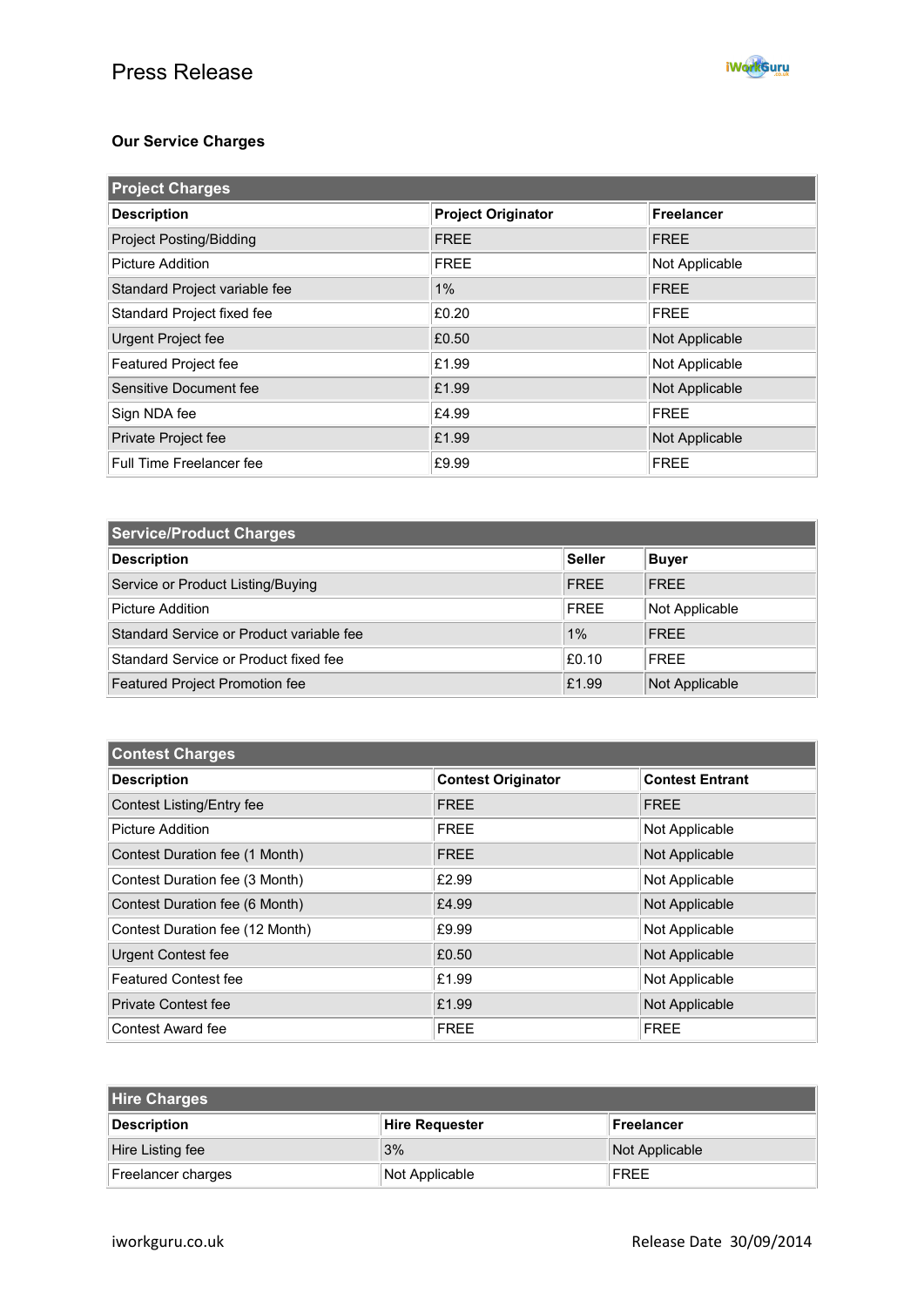

# **Our Service Charges**

| <b>Project Charges</b>         |                           |                   |  |
|--------------------------------|---------------------------|-------------------|--|
| <b>Description</b>             | <b>Project Originator</b> | <b>Freelancer</b> |  |
| <b>Project Posting/Bidding</b> | <b>FREE</b>               | <b>FREE</b>       |  |
| Picture Addition               | <b>FREE</b>               | Not Applicable    |  |
| Standard Project variable fee  | 1%                        | <b>FREE</b>       |  |
| Standard Project fixed fee     | £0.20                     | <b>FREE</b>       |  |
| Urgent Project fee             | £0.50                     | Not Applicable    |  |
| Featured Project fee           | £1.99                     | Not Applicable    |  |
| Sensitive Document fee         | £1.99                     | Not Applicable    |  |
| Sign NDA fee                   | £4.99                     | <b>FREE</b>       |  |
| Private Project fee            | £1.99                     | Not Applicable    |  |
| Full Time Freelancer fee       | £9.99                     | <b>FREE</b>       |  |

| <b>Service/Product Charges</b>           |               |                |  |
|------------------------------------------|---------------|----------------|--|
| <b>Description</b>                       | <b>Seller</b> | <b>Buyer</b>   |  |
| Service or Product Listing/Buying        | <b>FRFF</b>   | <b>FRFF</b>    |  |
| Picture Addition                         | FREE          | Not Applicable |  |
| Standard Service or Product variable fee | 1%            | <b>FREE</b>    |  |
| Standard Service or Product fixed fee    | E0.10         | <b>FRFF</b>    |  |
| Featured Project Promotion fee           | £1.99         | Not Applicable |  |

| <b>Contest Charges</b>          |                           |                        |  |
|---------------------------------|---------------------------|------------------------|--|
| <b>Description</b>              | <b>Contest Originator</b> | <b>Contest Entrant</b> |  |
| Contest Listing/Entry fee       | <b>FREE</b>               | <b>FREE</b>            |  |
| Picture Addition                | <b>FREE</b>               | Not Applicable         |  |
| Contest Duration fee (1 Month)  | <b>FREE</b>               | Not Applicable         |  |
| Contest Duration fee (3 Month)  | £2.99                     | Not Applicable         |  |
| Contest Duration fee (6 Month)  | £4.99                     | Not Applicable         |  |
| Contest Duration fee (12 Month) | £9.99                     | Not Applicable         |  |
| <b>Urgent Contest fee</b>       | £0.50                     | Not Applicable         |  |
| <b>Featured Contest fee</b>     | £1.99                     | Not Applicable         |  |
| <b>Private Contest fee</b>      | £1.99                     | Not Applicable         |  |
| Contest Award fee               | <b>FREE</b>               | <b>FREE</b>            |  |

| <b>Hire Charges</b> |                |                |  |
|---------------------|----------------|----------------|--|
| <b>Description</b>  | Hire Requester | Freelancer     |  |
| Hire Listing fee    | 3%             | Not Applicable |  |
| Freelancer charges  | Not Applicable | FREE           |  |